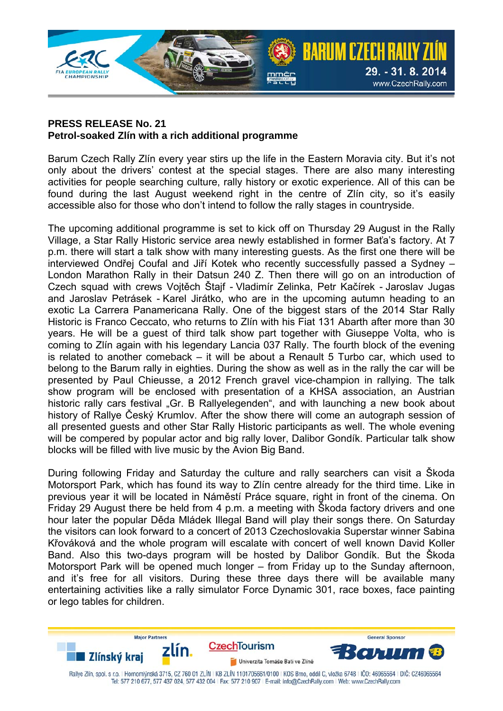

## **PRESS RELEASE No. 21 Petrol-soaked Zlín with a rich additional programme**

Barum Czech Rally Zlín every year stirs up the life in the Eastern Moravia city. But it's not only about the drivers' contest at the special stages. There are also many interesting activities for people searching culture, rally history or exotic experience. All of this can be found during the last August weekend right in the centre of Zlín city, so it's easily accessible also for those who don't intend to follow the rally stages in countryside.

The upcoming additional programme is set to kick off on Thursday 29 August in the Rally Village, a Star Rally Historic service area newly established in former Baťa's factory. At 7 p.m. there will start a talk show with many interesting guests. As the first one there will be interviewed Ondřej Coufal and Jiří Kotek who recently successfully passed a Sydney – London Marathon Rally in their Datsun 240 Z. Then there will go on an introduction of Czech squad with crews Vojtěch Štajf - Vladimír Zelinka, Petr Kačírek - Jaroslav Jugas and Jaroslav Petrásek - Karel Jirátko, who are in the upcoming autumn heading to an exotic La Carrera Panamericana Rally. One of the biggest stars of the 2014 Star Rally Historic is Franco Ceccato, who returns to Zlín with his Fiat 131 Abarth after more than 30 years. He will be a guest of third talk show part together with Giuseppe Volta, who is coming to Zlín again with his legendary Lancia 037 Rally. The fourth block of the evening is related to another comeback – it will be about a Renault 5 Turbo car, which used to belong to the Barum rally in eighties. During the show as well as in the rally the car will be presented by Paul Chieusse, a 2012 French gravel vice-champion in rallying. The talk show program will be enclosed with presentation of a KHSA association, an Austrian historic rally cars festival "Gr. B Rallyelegenden", and with launching a new book about history of Rallye Český Krumlov. After the show there will come an autograph session of all presented guests and other Star Rally Historic participants as well. The whole evening will be compered by popular actor and big rally lover, Dalibor Gondík. Particular talk show blocks will be filled with live music by the Avion Big Band.

During following Friday and Saturday the culture and rally searchers can visit a Škoda Motorsport Park, which has found its way to Zlín centre already for the third time. Like in previous year it will be located in Náměstí Práce square, right in front of the cinema. On Friday 29 August there be held from 4 p.m. a meeting with Škoda factory drivers and one hour later the popular Děda Mládek Illegal Band will play their songs there. On Saturday the visitors can look forward to a concert of 2013 Czechoslovakia Superstar winner Sabina Křováková and the whole program will escalate with concert of well known David Koller Band. Also this two-days program will be hosted by Dalibor Gondík. But the Škoda Motorsport Park will be opened much longer – from Friday up to the Sunday afternoon, and it's free for all visitors. During these three days there will be available many entertaining activities like a rally simulator Force Dynamic 301, race boxes, face painting or lego tables for children.